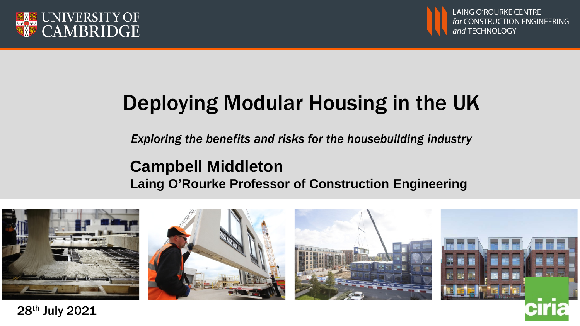



# Deploying Modular Housing in the UK

*Exploring the benefits and risks for the housebuilding industry*

### **Campbell Middleton Laing O'Rourke Professor of Construction Engineering**

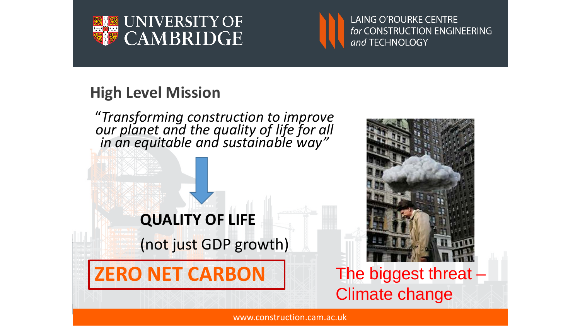



#### **High Level Mission**



www.construction.cam.ac.uk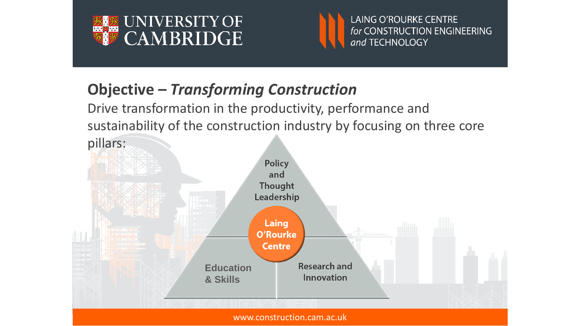



## **Objective –** *Transforming Construction*

Drive transformation in the productivity, performance and sustainability of the construction industry by focusing on three core

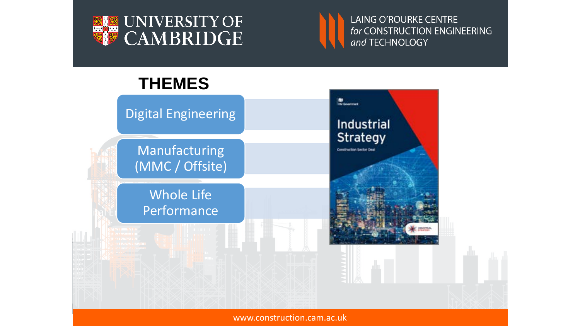





www.construction.cam.ac.uk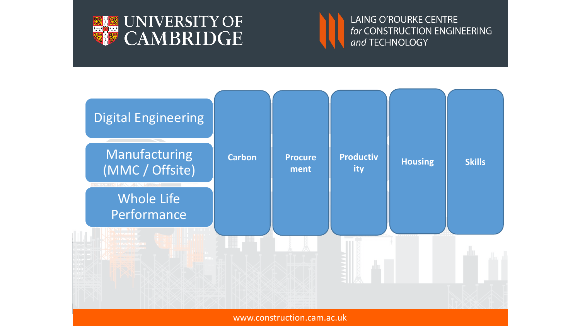





www.construction.cam.ac.uk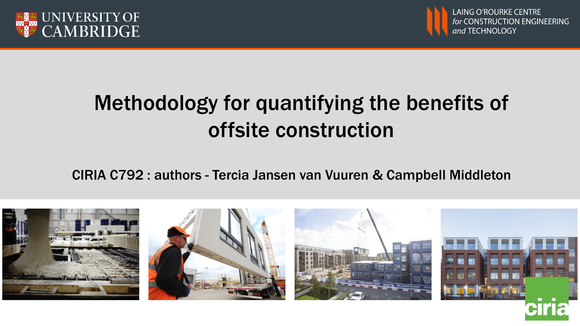



# Methodology for quantifying the benefits of offsite construction

CIRIA C792 : authors - Tercia Jansen van Vuuren & Campbell Middleton

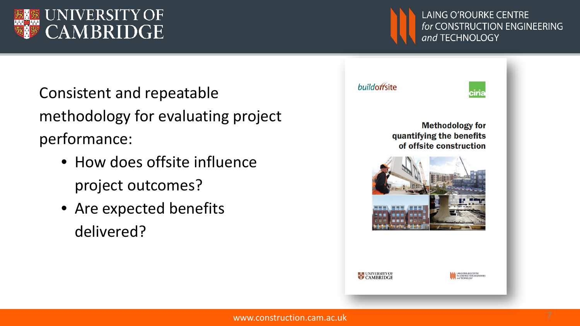

Consistent and repeatable methodology for evaluating project performance:

- How does offsite influence project outcomes?
- Are expected benefits delivered?



**LAING O'ROURKE CENTRE** 

and TECHNOLOGY

for CONSTRUCTION ENGINEERING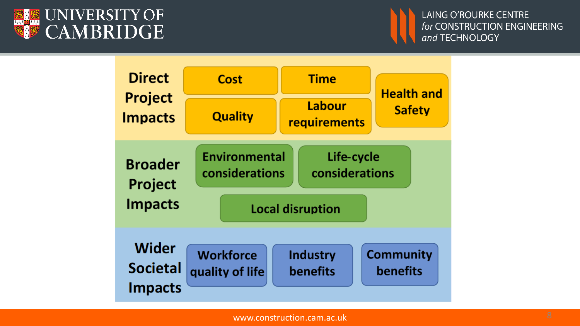